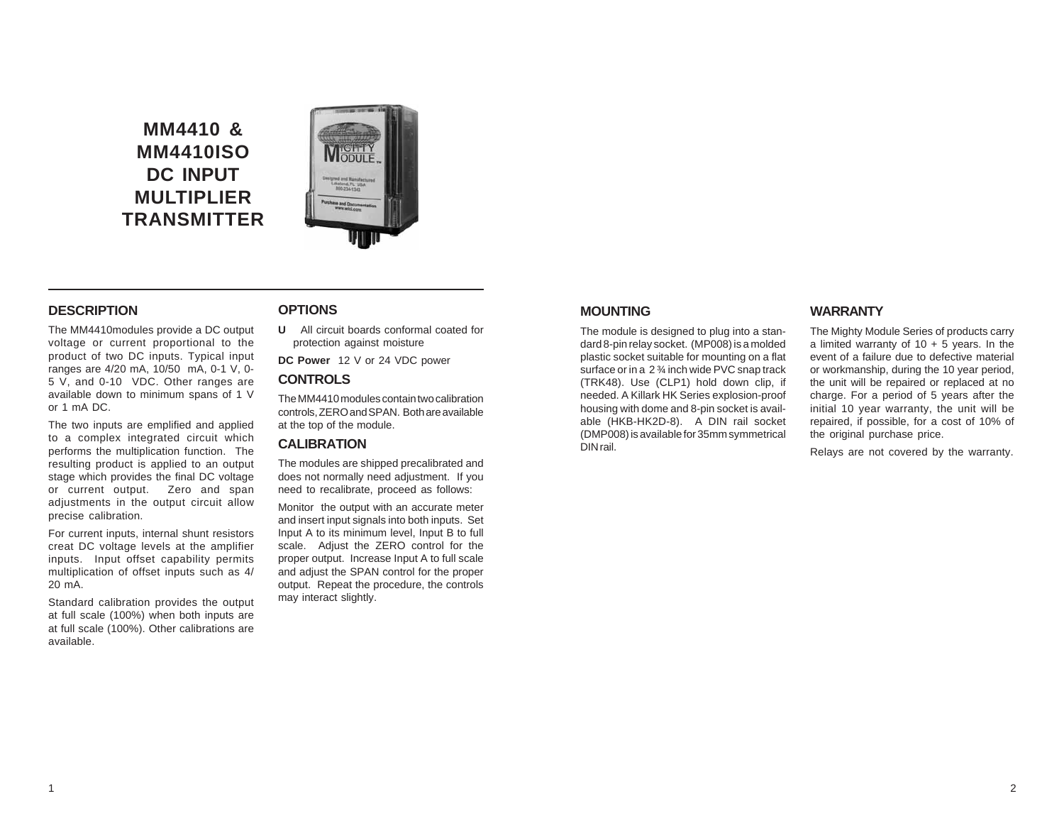# **MM4410 & MM4410ISO DC INPUT MULTIPLIER TRANSMITTER**



# **DESCRIPTION**

The MM4410modules provide a DC output voltage or current proportional to the product of two DC inputs. Typical input ranges are 4/20 mA, 10/50 mA, 0-1 V, 0- 5 V, and 0-10 VDC. Other ranges are available down to minimum spans of 1 V or 1 mA DC.

The two inputs are emplified and applied to a complex integrated circuit which performs the multiplication function. The resulting product is applied to an output stage which provides the final DC voltage or current output. Zero and span adjustments in the output circuit allow precise calibration.

For current inputs, internal shunt resistors creat DC voltage levels at the amplifier inputs. Input offset capability permits multiplication of offset inputs such as 4/ 20 mA.

Standard calibration provides the output at full scale (100%) when both inputs are at full scale (100%). Other calibrations are available.

# **OPTIONS**

**U** All circuit boards conformal coated for protection against moisture

**DC Power** 12 V or 24 VDC power

# **CONTROLS**

The MM4410 modules contain two calibration controls, ZERO and SPAN. Both are available at the top of the module.

### **CALIBRATION**

The modules are shipped precalibrated and does not normally need adjustment. If you need to recalibrate, proceed as follows:

Monitor the output with an accurate meter and insert input signals into both inputs. Set Input A to its minimum level, Input B to full scale. Adjust the ZERO control for the proper output. Increase Input A to full scale and adjust the SPAN control for the proper output. Repeat the procedure, the controls may interact slightly.

# **MOUNTING**

The module is designed to plug into a standard 8-pin relay socket. (MP008) is a molded plastic socket suitable for mounting on a flat surface or in a 2 ¾ inch wide PVC snap track (TRK48). Use (CLP1) hold down clip, if needed. A Killark HK Series explosion-proof housing with dome and 8-pin socket is available (HKB-HK2D-8). A DIN rail socket (DMP008) is available for 35mm symmetrical DIN rail.

### **WARRANTY**

The Mighty Module Series of products carry a limited warranty of  $10 + 5$  years. In the event of a failure due to defective material or workmanship, during the 10 year period, the unit will be repaired or replaced at no charge. For a period of 5 years after the initial 10 year warranty, the unit will be repaired, if possible, for a cost of 10% of the original purchase price.

Relays are not covered by the warranty.